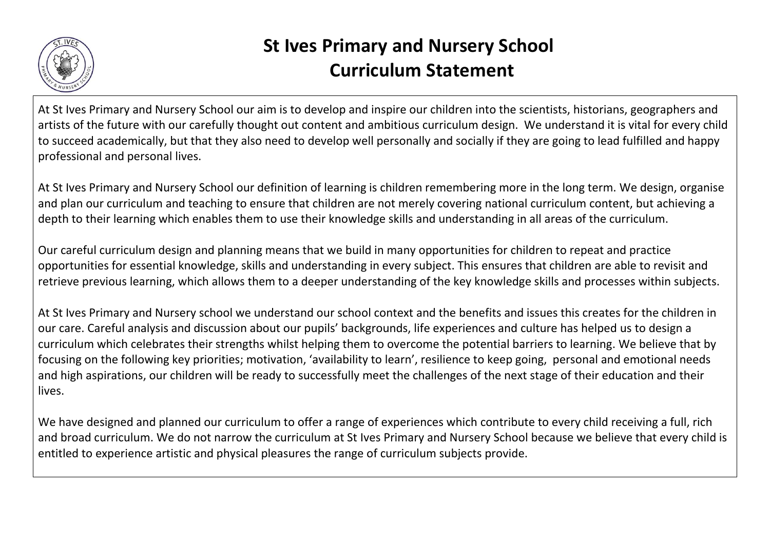

## **St Ives Primary and Nursery School Curriculum Statement**

At St Ives Primary and Nursery School our aim is to develop and inspire our children into the scientists, historians, geographers and artists of the future with our carefully thought out content and ambitious curriculum design. We understand it is vital for every child to succeed academically, but that they also need to develop well personally and socially if they are going to lead fulfilled and happy professional and personal lives.

At St Ives Primary and Nursery School our definition of learning is children remembering more in the long term. We design, organise and plan our curriculum and teaching to ensure that children are not merely covering national curriculum content, but achieving a depth to their learning which enables them to use their knowledge skills and understanding in all areas of the curriculum.

Our careful curriculum design and planning means that we build in many opportunities for children to repeat and practice opportunities for essential knowledge, skills and understanding in every subject. This ensures that children are able to revisit and retrieve previous learning, which allows them to a deeper understanding of the key knowledge skills and processes within subjects.

At St Ives Primary and Nursery school we understand our school context and the benefits and issues this creates for the children in our care. Careful analysis and discussion about our pupils' backgrounds, life experiences and culture has helped us to design a curriculum which celebrates their strengths whilst helping them to overcome the potential barriers to learning. We believe that by focusing on the following key priorities; motivation, 'availability to learn', resilience to keep going, personal and emotional needs and high aspirations, our children will be ready to successfully meet the challenges of the next stage of their education and their lives.

We have designed and planned our curriculum to offer a range of experiences which contribute to every child receiving a full, rich and broad curriculum. We do not narrow the curriculum at St Ives Primary and Nursery School because we believe that every child is entitled to experience artistic and physical pleasures the range of curriculum subjects provide.